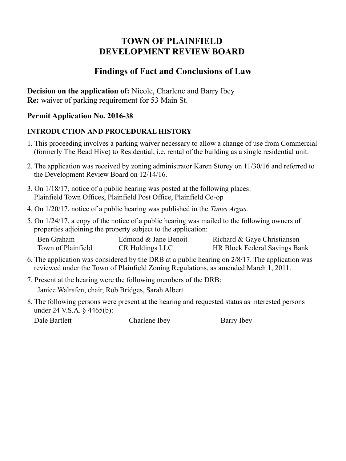# **TOWN OF PLAINFIELD DEVELOPMENT REVIEW BOARD**

## **Findings of Fact and Conclusions of Law**

**Decision on the application of:** Nicole, Charlene and Barry Ibey **Re:** waiver of parking requirement for 53 Main St.

### **Permit Application No. 2016-38**

### **INTRODUCTION AND PROCEDURAL HISTORY**

- 1. This proceeding involves a parking waiver necessary to allow a change of use from Commercial (formerly The Bead Hive) to Residential, i.e. rental of the building as a single residential unit.
- 2. The application was received by zoning administrator Karen Storey on 11/30/16 and referred to the Development Review Board on 12/14/16.
- 3. On 1/18/17, notice of a public hearing was posted at the following places: Plainfield Town Offices, Plainfield Post Office, Plainfield Co-op
- 4. On 1/20/17, notice of a public hearing was published in the *Times Argus.*
- 5. On 1/24/17, a copy of the notice of a public hearing was mailed to the following owners of properties adjoining the property subject to the application:

| Ben Graham         | Edmond & Jane Benoit | Richard & Gaye Christiansen          |
|--------------------|----------------------|--------------------------------------|
| Town of Plainfield | CR Holdings LLC      | <b>HR Block Federal Savings Bank</b> |

- 6. The application was considered by the DRB at a public hearing on 2/8/17. The application was reviewed under the Town of Plainfield Zoning Regulations, as amended March 1, 2011.
- 7. Present at the hearing were the following members of the DRB: Janice Walrafen, chair, Rob Bridges, Sarah Albert
- 8. The following persons were present at the hearing and requested status as interested persons under 24 V.S.A. § 4465(b):

| Dale Bartlett | Charlene Ibey |            |
|---------------|---------------|------------|
|               |               | Barry Ibey |